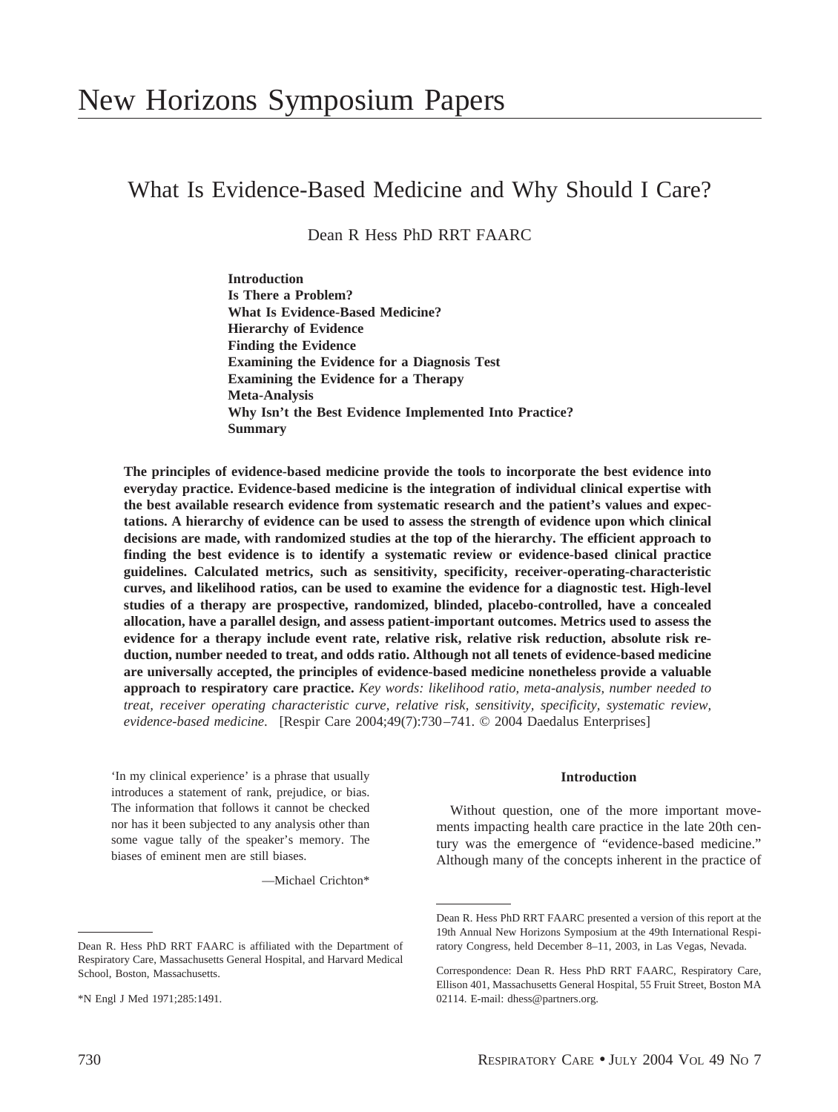# What Is Evidence-Based Medicine and Why Should I Care?

Dean R Hess PhD RRT FAARC

**Introduction Is There a Problem? What Is Evidence-Based Medicine? Hierarchy of Evidence Finding the Evidence Examining the Evidence for a Diagnosis Test Examining the Evidence for a Therapy Meta-Analysis Why Isn't the Best Evidence Implemented Into Practice? Summary**

**The principles of evidence-based medicine provide the tools to incorporate the best evidence into everyday practice. Evidence-based medicine is the integration of individual clinical expertise with the best available research evidence from systematic research and the patient's values and expectations. A hierarchy of evidence can be used to assess the strength of evidence upon which clinical decisions are made, with randomized studies at the top of the hierarchy. The efficient approach to finding the best evidence is to identify a systematic review or evidence-based clinical practice guidelines. Calculated metrics, such as sensitivity, specificity, receiver-operating-characteristic curves, and likelihood ratios, can be used to examine the evidence for a diagnostic test. High-level studies of a therapy are prospective, randomized, blinded, placebo-controlled, have a concealed allocation, have a parallel design, and assess patient-important outcomes. Metrics used to assess the evidence for a therapy include event rate, relative risk, relative risk reduction, absolute risk reduction, number needed to treat, and odds ratio. Although not all tenets of evidence-based medicine are universally accepted, the principles of evidence-based medicine nonetheless provide a valuable approach to respiratory care practice.** *Key words: likelihood ratio, meta-analysis, number needed to treat, receiver operating characteristic curve, relative risk, sensitivity, specificity, systematic review, evidence-based medicine*. [Respir Care 2004;49(7):730–741. © 2004 Daedalus Enterprises]

'In my clinical experience' is a phrase that usually introduces a statement of rank, prejudice, or bias. The information that follows it cannot be checked nor has it been subjected to any analysis other than some vague tally of the speaker's memory. The biases of eminent men are still biases.

—Michael Crichton\*

#### **Introduction**

Without question, one of the more important movements impacting health care practice in the late 20th century was the emergence of "evidence-based medicine." Although many of the concepts inherent in the practice of

Dean R. Hess PhD RRT FAARC is affiliated with the Department of Respiratory Care, Massachusetts General Hospital, and Harvard Medical School, Boston, Massachusetts.

<sup>\*</sup>N Engl J Med 1971;285:1491.

Dean R. Hess PhD RRT FAARC presented a version of this report at the 19th Annual New Horizons Symposium at the 49th International Respiratory Congress, held December 8–11, 2003, in Las Vegas, Nevada.

Correspondence: Dean R. Hess PhD RRT FAARC, Respiratory Care, Ellison 401, Massachusetts General Hospital, 55 Fruit Street, Boston MA 02114. E-mail: dhess@partners.org.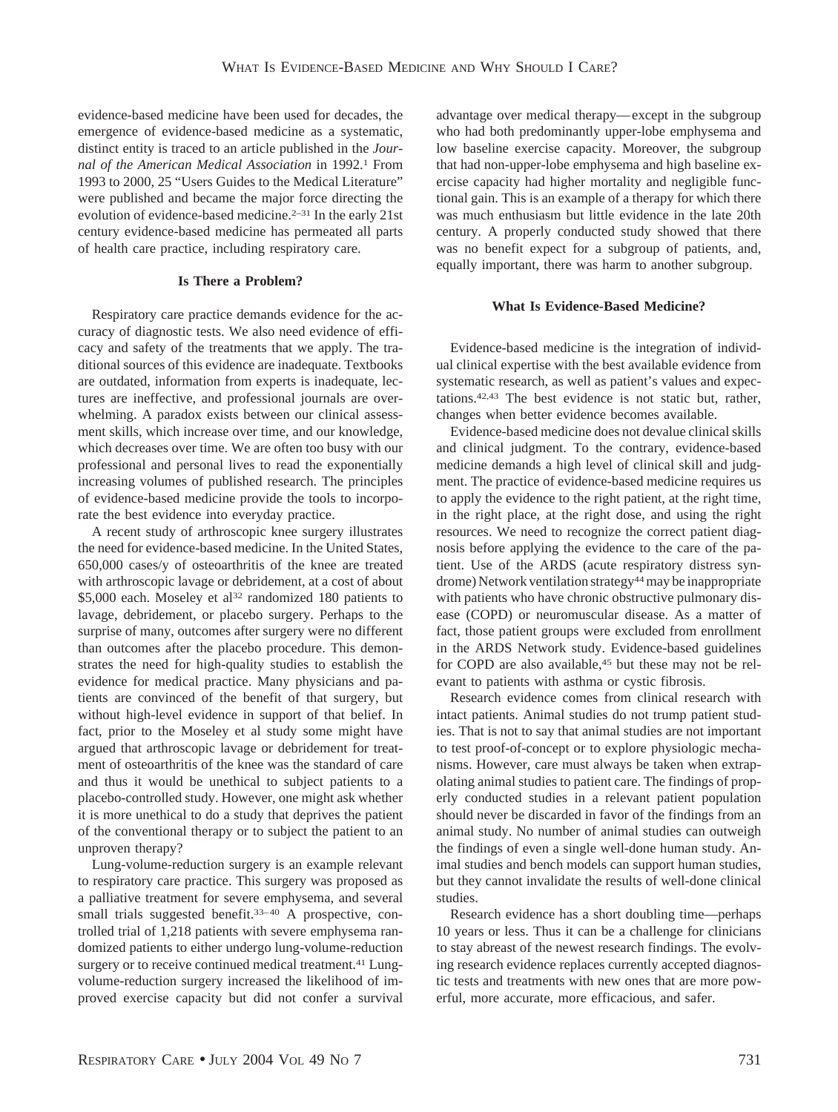evidence-based medicine have been used for decades, the emergence of evidence-based medicine as a systematic, distinct entity is traced to an article published in the *Journal of the American Medical Association* in 1992.1 From 1993 to 2000, 25 "Users Guides to the Medical Literature" were published and became the major force directing the evolution of evidence-based medicine.<sup>2-31</sup> In the early 21st century evidence-based medicine has permeated all parts of health care practice, including respiratory care.

### **Is There a Problem?**

Respiratory care practice demands evidence for the accuracy of diagnostic tests. We also need evidence of efficacy and safety of the treatments that we apply. The traditional sources of this evidence are inadequate. Textbooks are outdated, information from experts is inadequate, lectures are ineffective, and professional journals are overwhelming. A paradox exists between our clinical assessment skills, which increase over time, and our knowledge, which decreases over time. We are often too busy with our professional and personal lives to read the exponentially increasing volumes of published research. The principles of evidence-based medicine provide the tools to incorporate the best evidence into everyday practice.

A recent study of arthroscopic knee surgery illustrates the need for evidence-based medicine. In the United States, 650,000 cases/y of osteoarthritis of the knee are treated with arthroscopic lavage or debridement, at a cost of about \$5,000 each. Moseley et al<sup>32</sup> randomized 180 patients to lavage, debridement, or placebo surgery. Perhaps to the surprise of many, outcomes after surgery were no different than outcomes after the placebo procedure. This demonstrates the need for high-quality studies to establish the evidence for medical practice. Many physicians and patients are convinced of the benefit of that surgery, but without high-level evidence in support of that belief. In fact, prior to the Moseley et al study some might have argued that arthroscopic lavage or debridement for treatment of osteoarthritis of the knee was the standard of care and thus it would be unethical to subject patients to a placebo-controlled study. However, one might ask whether it is more unethical to do a study that deprives the patient of the conventional therapy or to subject the patient to an unproven therapy?

Lung-volume-reduction surgery is an example relevant to respiratory care practice. This surgery was proposed as a palliative treatment for severe emphysema, and several small trials suggested benefit.<sup>33-40</sup> A prospective, controlled trial of 1,218 patients with severe emphysema randomized patients to either undergo lung-volume-reduction surgery or to receive continued medical treatment.<sup>41</sup> Lungvolume-reduction surgery increased the likelihood of improved exercise capacity but did not confer a survival advantage over medical therapy—except in the subgroup who had both predominantly upper-lobe emphysema and low baseline exercise capacity. Moreover, the subgroup that had non-upper-lobe emphysema and high baseline exercise capacity had higher mortality and negligible functional gain. This is an example of a therapy for which there was much enthusiasm but little evidence in the late 20th century. A properly conducted study showed that there was no benefit expect for a subgroup of patients, and, equally important, there was harm to another subgroup.

### **What Is Evidence-Based Medicine?**

Evidence-based medicine is the integration of individual clinical expertise with the best available evidence from systematic research, as well as patient's values and expectations.42,43 The best evidence is not static but, rather, changes when better evidence becomes available.

Evidence-based medicine does not devalue clinical skills and clinical judgment. To the contrary, evidence-based medicine demands a high level of clinical skill and judgment. The practice of evidence-based medicine requires us to apply the evidence to the right patient, at the right time, in the right place, at the right dose, and using the right resources. We need to recognize the correct patient diagnosis before applying the evidence to the care of the patient. Use of the ARDS (acute respiratory distress syndrome) Network ventilation strategy<sup>44</sup> may be inappropriate with patients who have chronic obstructive pulmonary disease (COPD) or neuromuscular disease. As a matter of fact, those patient groups were excluded from enrollment in the ARDS Network study. Evidence-based guidelines for COPD are also available,<sup>45</sup> but these may not be relevant to patients with asthma or cystic fibrosis.

Research evidence comes from clinical research with intact patients. Animal studies do not trump patient studies. That is not to say that animal studies are not important to test proof-of-concept or to explore physiologic mechanisms. However, care must always be taken when extrapolating animal studies to patient care. The findings of properly conducted studies in a relevant patient population should never be discarded in favor of the findings from an animal study. No number of animal studies can outweigh the findings of even a single well-done human study. Animal studies and bench models can support human studies, but they cannot invalidate the results of well-done clinical studies.

Research evidence has a short doubling time—perhaps 10 years or less. Thus it can be a challenge for clinicians to stay abreast of the newest research findings. The evolving research evidence replaces currently accepted diagnostic tests and treatments with new ones that are more powerful, more accurate, more efficacious, and safer.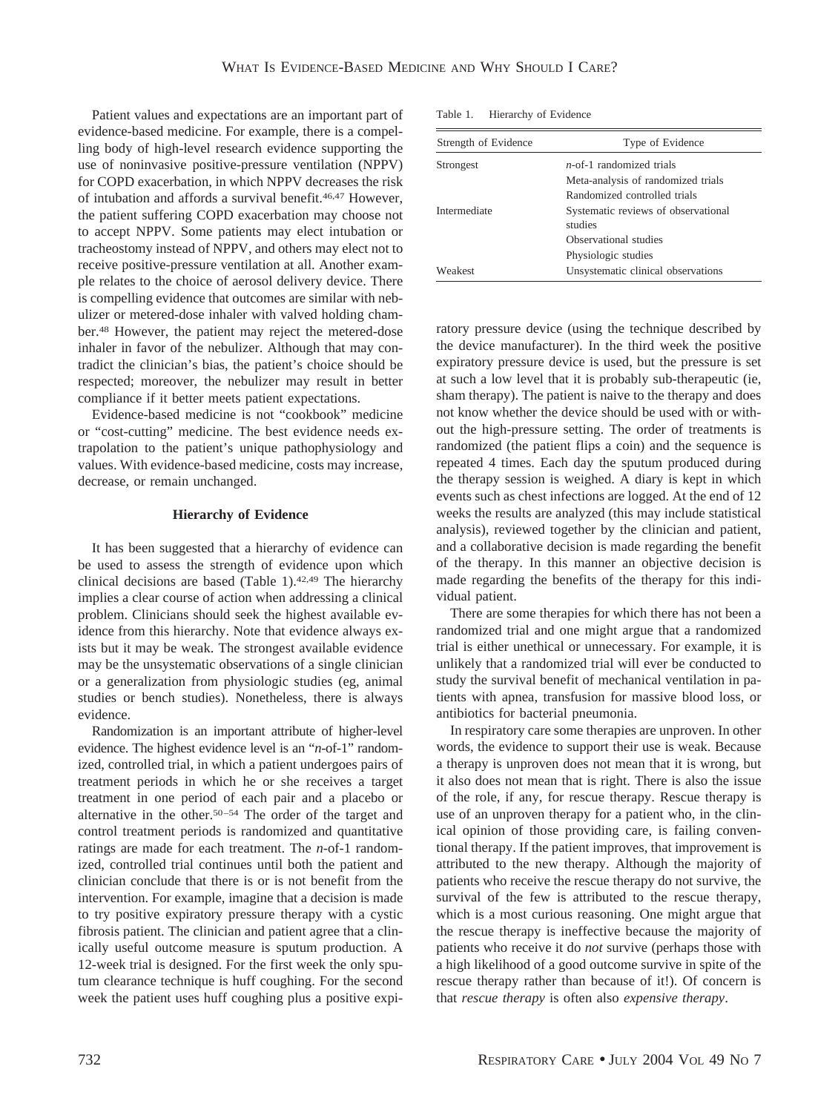Patient values and expectations are an important part of evidence-based medicine. For example, there is a compelling body of high-level research evidence supporting the use of noninvasive positive-pressure ventilation (NPPV) for COPD exacerbation, in which NPPV decreases the risk of intubation and affords a survival benefit.46,47 However, the patient suffering COPD exacerbation may choose not to accept NPPV. Some patients may elect intubation or tracheostomy instead of NPPV, and others may elect not to receive positive-pressure ventilation at all. Another example relates to the choice of aerosol delivery device. There is compelling evidence that outcomes are similar with nebulizer or metered-dose inhaler with valved holding chamber.48 However, the patient may reject the metered-dose inhaler in favor of the nebulizer. Although that may contradict the clinician's bias, the patient's choice should be respected; moreover, the nebulizer may result in better compliance if it better meets patient expectations.

Evidence-based medicine is not "cookbook" medicine or "cost-cutting" medicine. The best evidence needs extrapolation to the patient's unique pathophysiology and values. With evidence-based medicine, costs may increase, decrease, or remain unchanged.

# **Hierarchy of Evidence**

It has been suggested that a hierarchy of evidence can be used to assess the strength of evidence upon which clinical decisions are based (Table 1).<sup>42,49</sup> The hierarchy implies a clear course of action when addressing a clinical problem. Clinicians should seek the highest available evidence from this hierarchy. Note that evidence always exists but it may be weak. The strongest available evidence may be the unsystematic observations of a single clinician or a generalization from physiologic studies (eg, animal studies or bench studies). Nonetheless, there is always evidence.

Randomization is an important attribute of higher-level evidence. The highest evidence level is an "*n-*of-1" randomized, controlled trial, in which a patient undergoes pairs of treatment periods in which he or she receives a target treatment in one period of each pair and a placebo or alternative in the other.50–54 The order of the target and control treatment periods is randomized and quantitative ratings are made for each treatment. The *n*-of-1 randomized, controlled trial continues until both the patient and clinician conclude that there is or is not benefit from the intervention. For example, imagine that a decision is made to try positive expiratory pressure therapy with a cystic fibrosis patient. The clinician and patient agree that a clinically useful outcome measure is sputum production. A 12-week trial is designed. For the first week the only sputum clearance technique is huff coughing. For the second week the patient uses huff coughing plus a positive expi-

| Table 1. |  | Hierarchy of Evidence |
|----------|--|-----------------------|
|----------|--|-----------------------|

| Strength of Evidence | Type of Evidence                               |  |
|----------------------|------------------------------------------------|--|
| Strongest            | $n$ -of-1 randomized trials                    |  |
|                      | Meta-analysis of randomized trials             |  |
|                      | Randomized controlled trials                   |  |
| Intermediate         | Systematic reviews of observational<br>studies |  |
|                      | Observational studies                          |  |
|                      | Physiologic studies                            |  |
| Weakest              | Unsystematic clinical observations             |  |

ratory pressure device (using the technique described by the device manufacturer). In the third week the positive expiratory pressure device is used, but the pressure is set at such a low level that it is probably sub-therapeutic (ie, sham therapy). The patient is naive to the therapy and does not know whether the device should be used with or without the high-pressure setting. The order of treatments is randomized (the patient flips a coin) and the sequence is repeated 4 times. Each day the sputum produced during the therapy session is weighed. A diary is kept in which events such as chest infections are logged. At the end of 12 weeks the results are analyzed (this may include statistical analysis), reviewed together by the clinician and patient, and a collaborative decision is made regarding the benefit of the therapy. In this manner an objective decision is made regarding the benefits of the therapy for this individual patient.

There are some therapies for which there has not been a randomized trial and one might argue that a randomized trial is either unethical or unnecessary. For example, it is unlikely that a randomized trial will ever be conducted to study the survival benefit of mechanical ventilation in patients with apnea, transfusion for massive blood loss, or antibiotics for bacterial pneumonia.

In respiratory care some therapies are unproven. In other words, the evidence to support their use is weak. Because a therapy is unproven does not mean that it is wrong, but it also does not mean that is right. There is also the issue of the role, if any, for rescue therapy. Rescue therapy is use of an unproven therapy for a patient who, in the clinical opinion of those providing care, is failing conventional therapy. If the patient improves, that improvement is attributed to the new therapy. Although the majority of patients who receive the rescue therapy do not survive, the survival of the few is attributed to the rescue therapy, which is a most curious reasoning. One might argue that the rescue therapy is ineffective because the majority of patients who receive it do *not* survive (perhaps those with a high likelihood of a good outcome survive in spite of the rescue therapy rather than because of it!). Of concern is that *rescue therapy* is often also *expensive therapy*.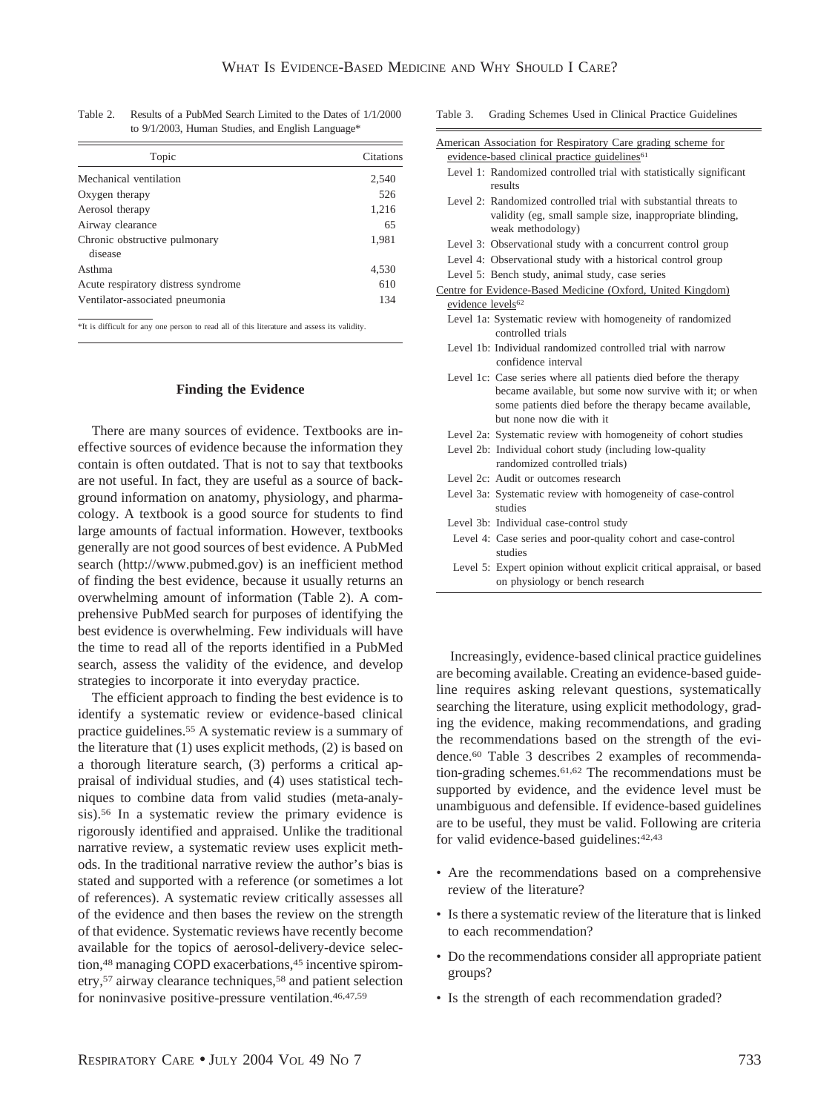| Citations |
|-----------|
| 2,540     |
| 526       |
| 1,216     |
| 65        |
| 1,981     |
|           |
| 4,530     |
| 610       |
| 134       |
|           |

Table 2. Results of a PubMed Search Limited to the Dates of 1/1/2000 to 9/1/2003, Human Studies, and English Language\*

\*It is difficult for any one person to read all of this literature and assess its validity.

#### **Finding the Evidence**

There are many sources of evidence. Textbooks are ineffective sources of evidence because the information they contain is often outdated. That is not to say that textbooks are not useful. In fact, they are useful as a source of background information on anatomy, physiology, and pharmacology. A textbook is a good source for students to find large amounts of factual information. However, textbooks generally are not good sources of best evidence. A PubMed search (http://www.pubmed.gov) is an inefficient method of finding the best evidence, because it usually returns an overwhelming amount of information (Table 2). A comprehensive PubMed search for purposes of identifying the best evidence is overwhelming. Few individuals will have the time to read all of the reports identified in a PubMed search, assess the validity of the evidence, and develop strategies to incorporate it into everyday practice.

The efficient approach to finding the best evidence is to identify a systematic review or evidence-based clinical practice guidelines.55 A systematic review is a summary of the literature that (1) uses explicit methods, (2) is based on a thorough literature search, (3) performs a critical appraisal of individual studies, and (4) uses statistical techniques to combine data from valid studies (meta-analysis).56 In a systematic review the primary evidence is rigorously identified and appraised. Unlike the traditional narrative review, a systematic review uses explicit methods. In the traditional narrative review the author's bias is stated and supported with a reference (or sometimes a lot of references). A systematic review critically assesses all of the evidence and then bases the review on the strength of that evidence. Systematic reviews have recently become available for the topics of aerosol-delivery-device selection,<sup>48</sup> managing COPD exacerbations,<sup>45</sup> incentive spirometry,57 airway clearance techniques,58 and patient selection for noninvasive positive-pressure ventilation.46,47,59

| Grading Schemes Used in Clinical Practice Guidelines<br>Table 3. |
|------------------------------------------------------------------|
|------------------------------------------------------------------|

|                               | American Association for Respiratory Care grading scheme for          |
|-------------------------------|-----------------------------------------------------------------------|
|                               | evidence-based clinical practice guidelines <sup>61</sup>             |
|                               | Level 1: Randomized controlled trial with statistically significant   |
|                               | results                                                               |
|                               | Level 2: Randomized controlled trial with substantial threats to      |
|                               | validity (eg, small sample size, inappropriate blinding,              |
|                               | weak methodology)                                                     |
|                               | Level 3: Observational study with a concurrent control group          |
|                               | Level 4: Observational study with a historical control group          |
|                               | Level 5: Bench study, animal study, case series                       |
|                               | Centre for Evidence-Based Medicine (Oxford, United Kingdom)           |
| evidence levels <sup>62</sup> |                                                                       |
|                               | Level 1a: Systematic review with homogeneity of randomized            |
|                               | controlled trials                                                     |
|                               | Level 1b: Individual randomized controlled trial with narrow          |
|                               | confidence interval                                                   |
|                               | Level 1c: Case series where all patients died before the therapy      |
|                               | became available, but some now survive with it; or when               |
|                               | some patients died before the therapy became available,               |
|                               | but none now die with it                                              |
|                               | Level 2a: Systematic review with homogeneity of cohort studies        |
|                               | Level 2b: Individual cohort study (including low-quality              |
|                               | randomized controlled trials)                                         |
|                               | Level 2c: Audit or outcomes research                                  |
|                               | Level 3a: Systematic review with homogeneity of case-control          |
|                               | studies                                                               |
|                               | Level 3b: Individual case-control study                               |
|                               | Level 4: Case series and poor-quality cohort and case-control         |
|                               | studies                                                               |
|                               | Level 5: Expert opinion without explicit critical appraisal, or based |
|                               | on physiology or bench research                                       |

Increasingly, evidence-based clinical practice guidelines are becoming available. Creating an evidence-based guideline requires asking relevant questions, systematically searching the literature, using explicit methodology, grading the evidence, making recommendations, and grading the recommendations based on the strength of the evidence.60 Table 3 describes 2 examples of recommendation-grading schemes.61,62 The recommendations must be supported by evidence, and the evidence level must be unambiguous and defensible. If evidence-based guidelines are to be useful, they must be valid. Following are criteria for valid evidence-based guidelines: 42,43

- Are the recommendations based on a comprehensive review of the literature?
- Is there a systematic review of the literature that is linked to each recommendation?
- Do the recommendations consider all appropriate patient groups?
- Is the strength of each recommendation graded?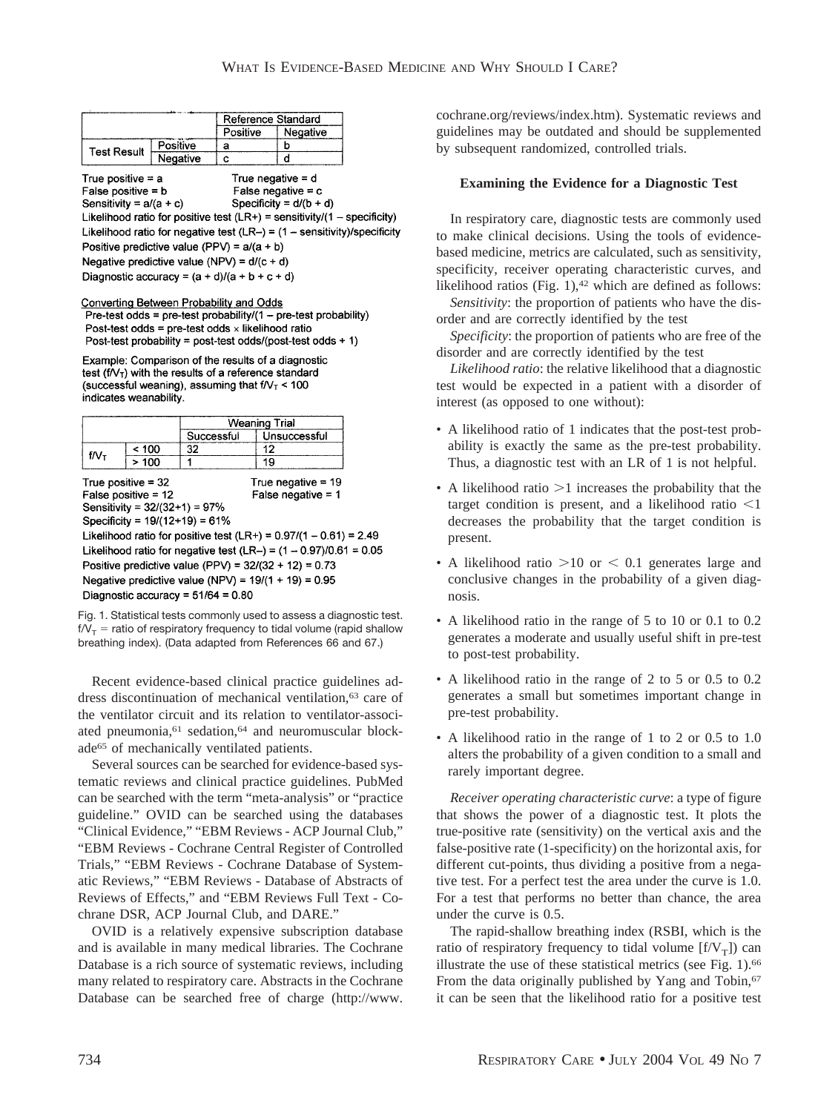| Reference Standard |          |          |          |
|--------------------|----------|----------|----------|
|                    |          | Positive | Negative |
| Test Result        | Positive |          |          |
|                    | Negative |          |          |

True positive  $= a$ True negative  $= d$ False positive  $= b$ False negative =  $c$ Sensitivity =  $a/(a + c)$ Specificity =  $d/(b + d)$ Likelihood ratio for positive test (LR+) = sensitivity/(1 - specificity) Likelihood ratio for negative test  $(LR-) = (1 -$  sensitivity)/specificity Positive predictive value (PPV) =  $a/(a + b)$ Negative predictive value (NPV) =  $d/(c + d)$ 

Diagnostic accuracy =  $(a + d)/(a + b + c + d)$ 

#### **Converting Between Probability and Odds**

Pre-test odds =  $pre$ -test probability/(1 –  $pre$ -test probability) Post-test odds = pre-test odds  $\times$  likelihood ratio Post-test probability = post-test odds/(post-test odds + 1)

Example: Comparison of the results of a diagnostic test  $(f/\sqrt{t})$  with the results of a reference standard (successful weaning), assuming that  $f/V_T < 100$ indicates weanability.

|      |       | <b>Weaning Trial</b> |              |
|------|-------|----------------------|--------------|
|      |       | Successful           | Unsuccessful |
|      | < 100 |                      |              |
| t/V۱ | ിറ്റ  |                      |              |

True positive  $= 32$ False positive =  $12$ 

Sensitivity =  $32/(32+1) = 97%$ 

Specificity =  $19/(12+19) = 61%$ Likelihood ratio for positive test (LR+) =  $0.97/(1 - 0.61) = 2.49$ Likelihood ratio for negative test (LR-) =  $(1 - 0.97)/0.61 = 0.05$ Positive predictive value (PPV) =  $32/(32 + 12) = 0.73$ Negative predictive value (NPV) =  $19/(1 + 19) = 0.95$ 

Diagnostic accuracy =  $51/64 = 0.80$ 

Fig. 1. Statistical tests commonly used to assess a diagnostic test.  $f/V_T$  = ratio of respiratory frequency to tidal volume (rapid shallow breathing index). (Data adapted from References 66 and 67.)

True negative =  $19$ 

False negative  $= 1$ 

Recent evidence-based clinical practice guidelines address discontinuation of mechanical ventilation,<sup>63</sup> care of the ventilator circuit and its relation to ventilator-associated pneumonia,<sup>61</sup> sedation,<sup>64</sup> and neuromuscular blockade65 of mechanically ventilated patients.

Several sources can be searched for evidence-based systematic reviews and clinical practice guidelines. PubMed can be searched with the term "meta-analysis" or "practice guideline." OVID can be searched using the databases "Clinical Evidence," "EBM Reviews - ACP Journal Club," "EBM Reviews - Cochrane Central Register of Controlled Trials," "EBM Reviews - Cochrane Database of Systematic Reviews," "EBM Reviews - Database of Abstracts of Reviews of Effects," and "EBM Reviews Full Text - Cochrane DSR, ACP Journal Club, and DARE."

OVID is a relatively expensive subscription database and is available in many medical libraries. The Cochrane Database is a rich source of systematic reviews, including many related to respiratory care. Abstracts in the Cochrane Database can be searched free of charge (http://www. cochrane.org/reviews/index.htm). Systematic reviews and guidelines may be outdated and should be supplemented by subsequent randomized, controlled trials.

### **Examining the Evidence for a Diagnostic Test**

In respiratory care, diagnostic tests are commonly used to make clinical decisions. Using the tools of evidencebased medicine, metrics are calculated, such as sensitivity, specificity, receiver operating characteristic curves, and likelihood ratios (Fig.  $1$ ),<sup>42</sup> which are defined as follows: *Sensitivity*: the proportion of patients who have the dis-

order and are correctly identified by the test *Specificity*: the proportion of patients who are free of the

disorder and are correctly identified by the test

*Likelihood ratio*: the relative likelihood that a diagnostic test would be expected in a patient with a disorder of interest (as opposed to one without):

- A likelihood ratio of 1 indicates that the post-test probability is exactly the same as the pre-test probability. Thus, a diagnostic test with an LR of 1 is not helpful.
- A likelihood ratio  $>1$  increases the probability that the target condition is present, and a likelihood ratio  $\leq 1$ decreases the probability that the target condition is present.
- A likelihood ratio  $>10$  or  $< 0.1$  generates large and conclusive changes in the probability of a given diagnosis.
- A likelihood ratio in the range of 5 to 10 or 0.1 to 0.2 generates a moderate and usually useful shift in pre-test to post-test probability.
- A likelihood ratio in the range of 2 to 5 or 0.5 to 0.2 generates a small but sometimes important change in pre-test probability.
- A likelihood ratio in the range of 1 to 2 or 0.5 to 1.0 alters the probability of a given condition to a small and rarely important degree.

*Receiver operating characteristic curve*: a type of figure that shows the power of a diagnostic test. It plots the true-positive rate (sensitivity) on the vertical axis and the false-positive rate (1-specificity) on the horizontal axis, for different cut-points, thus dividing a positive from a negative test. For a perfect test the area under the curve is 1.0. For a test that performs no better than chance, the area under the curve is 0.5.

The rapid-shallow breathing index (RSBI, which is the ratio of respiratory frequency to tidal volume  $[f/V_T]$ ) can illustrate the use of these statistical metrics (see Fig. 1).<sup>66</sup> From the data originally published by Yang and Tobin,<sup>67</sup> it can be seen that the likelihood ratio for a positive test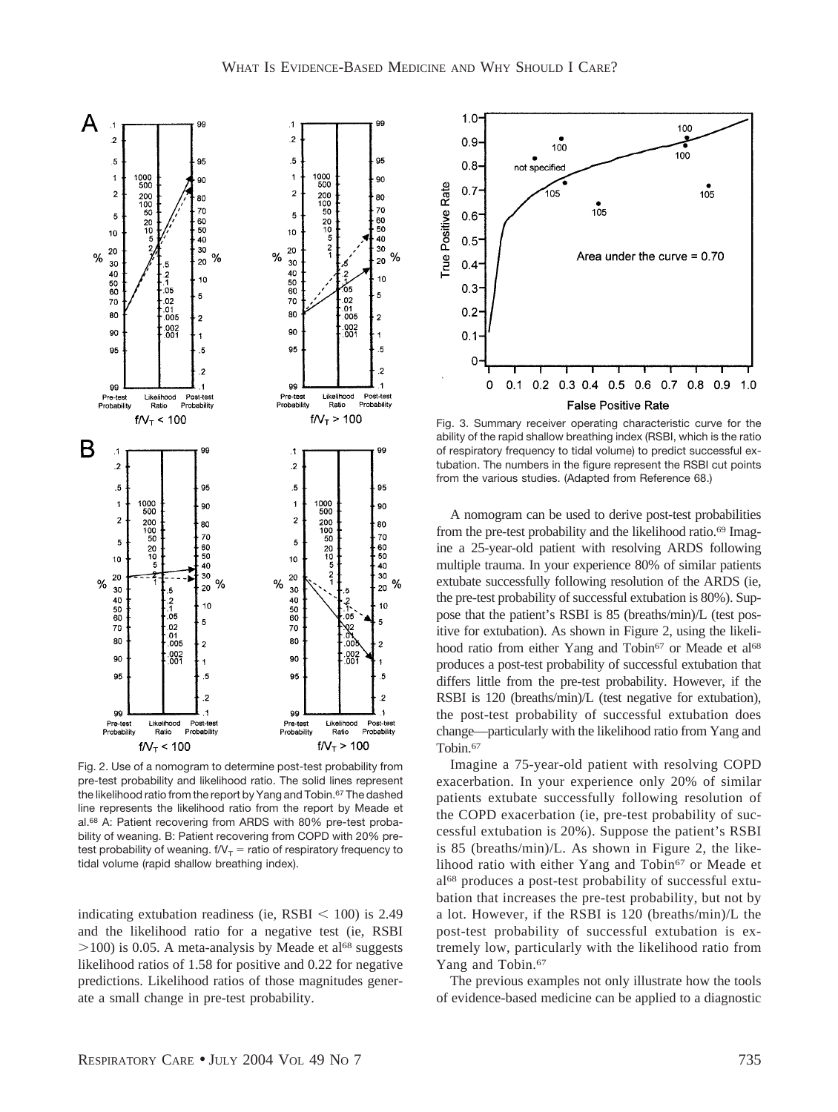

Fig. 2. Use of a nomogram to determine post-test probability from pre-test probability and likelihood ratio. The solid lines represent the likelihood ratio from the report by Yang and Tobin.<sup>67</sup> The dashed line represents the likelihood ratio from the report by Meade et al.<sup>68</sup> A: Patient recovering from ARDS with 80% pre-test probability of weaning. B: Patient recovering from COPD with 20% pretest probability of weaning.  $f/V_T =$  ratio of respiratory frequency to tidal volume (rapid shallow breathing index).

indicating extubation readiness (ie,  $\text{RSBI} < 100$ ) is 2.49 and the likelihood ratio for a negative test (ie, RSBI  $>100$ ) is 0.05. A meta-analysis by Meade et al<sup>68</sup> suggests likelihood ratios of 1.58 for positive and 0.22 for negative predictions. Likelihood ratios of those magnitudes generate a small change in pre-test probability.



Fig. 3. Summary receiver operating characteristic curve for the ability of the rapid shallow breathing index (RSBI, which is the ratio of respiratory frequency to tidal volume) to predict successful extubation. The numbers in the figure represent the RSBI cut points from the various studies. (Adapted from Reference 68.)

A nomogram can be used to derive post-test probabilities from the pre-test probability and the likelihood ratio.<sup>69</sup> Imagine a 25-year-old patient with resolving ARDS following multiple trauma. In your experience 80% of similar patients extubate successfully following resolution of the ARDS (ie, the pre-test probability of successful extubation is 80%). Suppose that the patient's RSBI is 85 (breaths/min)/L (test positive for extubation). As shown in Figure 2, using the likelihood ratio from either Yang and Tobin<sup>67</sup> or Meade et al<sup>68</sup> produces a post-test probability of successful extubation that differs little from the pre-test probability. However, if the RSBI is 120 (breaths/min)/L (test negative for extubation), the post-test probability of successful extubation does change—particularly with the likelihood ratio from Yang and Tobin.<sup>67</sup>

Imagine a 75-year-old patient with resolving COPD exacerbation. In your experience only 20% of similar patients extubate successfully following resolution of the COPD exacerbation (ie, pre-test probability of successful extubation is 20%). Suppose the patient's RSBI is 85 (breaths/min)/L. As shown in Figure 2, the likelihood ratio with either Yang and Tobin<sup>67</sup> or Meade et al68 produces a post-test probability of successful extubation that increases the pre-test probability, but not by a lot. However, if the RSBI is 120 (breaths/min)/L the post-test probability of successful extubation is extremely low, particularly with the likelihood ratio from Yang and Tobin.<sup>67</sup>

The previous examples not only illustrate how the tools of evidence-based medicine can be applied to a diagnostic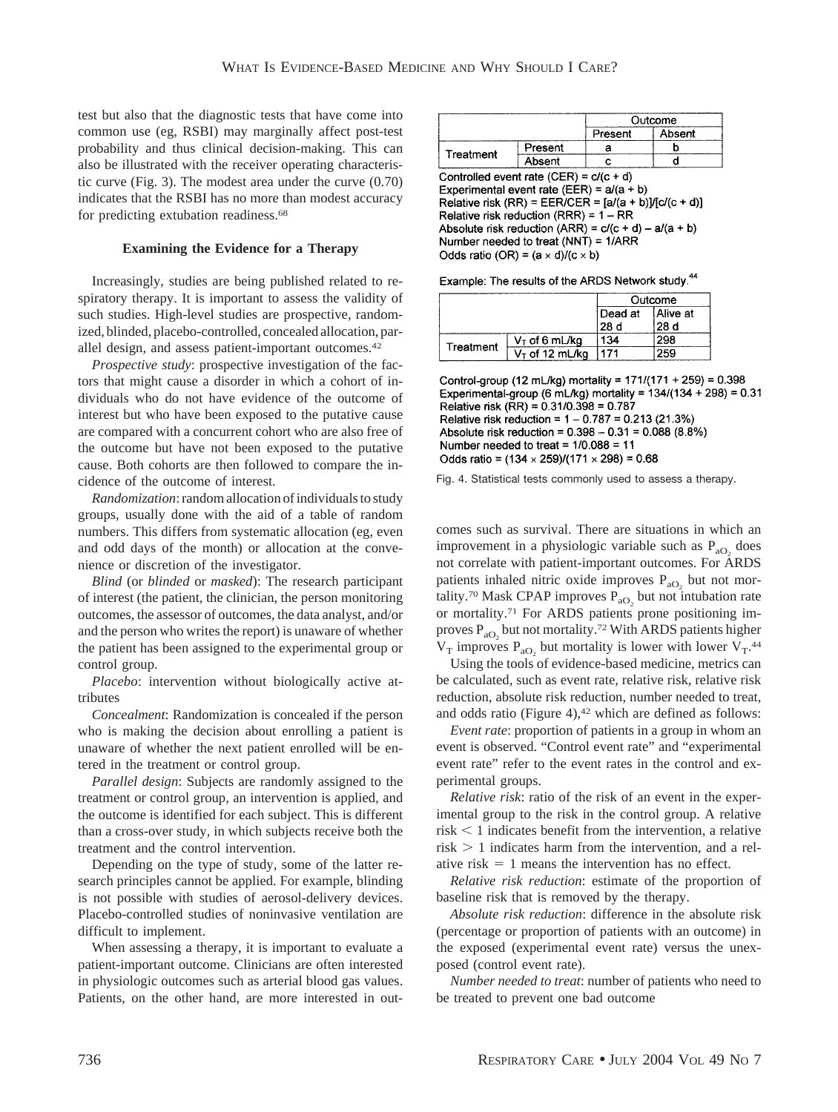test but also that the diagnostic tests that have come into common use (eg, RSBI) may marginally affect post-test probability and thus clinical decision-making. This can also be illustrated with the receiver operating characteristic curve (Fig. 3). The modest area under the curve (0.70) indicates that the RSBI has no more than modest accuracy for predicting extubation readiness.<sup>68</sup>

### **Examining the Evidence for a Therapy**

Increasingly, studies are being published related to respiratory therapy. It is important to assess the validity of such studies. High-level studies are prospective, randomized, blinded, placebo-controlled, concealed allocation, parallel design, and assess patient-important outcomes.42

*Prospective study*: prospective investigation of the factors that might cause a disorder in which a cohort of individuals who do not have evidence of the outcome of interest but who have been exposed to the putative cause are compared with a concurrent cohort who are also free of the outcome but have not been exposed to the putative cause. Both cohorts are then followed to compare the incidence of the outcome of interest.

*Randomization*: random allocation of individuals to study groups, usually done with the aid of a table of random numbers. This differs from systematic allocation (eg, even and odd days of the month) or allocation at the convenience or discretion of the investigator.

*Blind* (or *blinded* or *masked*): The research participant of interest (the patient, the clinician, the person monitoring outcomes, the assessor of outcomes, the data analyst, and/or and the person who writes the report) is unaware of whether the patient has been assigned to the experimental group or control group.

*Placebo*: intervention without biologically active attributes

*Concealment*: Randomization is concealed if the person who is making the decision about enrolling a patient is unaware of whether the next patient enrolled will be entered in the treatment or control group.

*Parallel design*: Subjects are randomly assigned to the treatment or control group, an intervention is applied, and the outcome is identified for each subject. This is different than a cross-over study, in which subjects receive both the treatment and the control intervention.

Depending on the type of study, some of the latter research principles cannot be applied. For example, blinding is not possible with studies of aerosol-delivery devices. Placebo-controlled studies of noninvasive ventilation are difficult to implement.

When assessing a therapy, it is important to evaluate a patient-important outcome. Clinicians are often interested in physiologic outcomes such as arterial blood gas values. Patients, on the other hand, are more interested in out-

|           |         | Outcome |        |
|-----------|---------|---------|--------|
|           |         | Present | Absent |
| Treatment | Present |         |        |
|           | Absent  |         |        |

Experimental event rate (EER) =  $a/(a + b)$ Relative risk (RR) = EER/CER =  $[a/(a + b)]/[c/(c + d)]$ Relative risk reduction (RRR) =  $1 - RR$ 

Absolute risk reduction (ARR) =  $c/(c + d) - a/(a + b)$ Number needed to treat (NNT) =  $1/ARR$ Odds ratio (OR) =  $(a \times d)/(c \times b)$ 

| Example: The results of the ARDS Network study. <sup>44</sup> |  |
|---------------------------------------------------------------|--|
|---------------------------------------------------------------|--|

|           | Outcome           |         |          |
|-----------|-------------------|---------|----------|
|           |                   | Dead at | Alive at |
|           |                   | 28 d    | 28 d     |
| Treatment | $V_T$ of 6 mL/kg  | 134     | 298      |
|           | $V_T$ of 12 mL/kg | 171     | 259      |

Control-group (12 mL/kg) mortality = 171/(171 + 259) = 0.398 Experimental-group (6 mL/kg) mortality =  $134/(134 + 298) = 0.31$ Relative risk (RR) = 0.31/0.398 = 0.787 Relative risk reduction =  $1 - 0.787 = 0.213(21.3%)$ Absolute risk reduction =  $0.398 - 0.31 = 0.088$  (8.8%) Number needed to treat =  $1/0.088 = 11$ Odds ratio =  $(134 \times 259)/(171 \times 298) = 0.68$ 

Fig. 4. Statistical tests commonly used to assess a therapy.

comes such as survival. There are situations in which an improvement in a physiologic variable such as  $P_{aO_2}$  does not correlate with patient-important outcomes. For ARDS patients inhaled nitric oxide improves  $P_{aO_2}$  but not mortality.<sup>70</sup> Mask CPAP improves  $P_{aO_2}$  but not intubation rate or mortality.71 For ARDS patients prone positioning improves  $P_{aO_2}$  but not mortality.<sup>72</sup> With ARDS patients higher  $V_T$  improves  $P_{aO_2}$  but mortality is lower with lower  $V_T$ .<sup>44</sup>

Using the tools of evidence-based medicine, metrics can be calculated, such as event rate, relative risk, relative risk reduction, absolute risk reduction, number needed to treat, and odds ratio (Figure 4), $42$  which are defined as follows:

*Event rate*: proportion of patients in a group in whom an event is observed. "Control event rate" and "experimental event rate" refer to the event rates in the control and experimental groups.

*Relative risk*: ratio of the risk of an event in the experimental group to the risk in the control group. A relative  $risk < 1$  indicates benefit from the intervention, a relative  $risk > 1$  indicates harm from the intervention, and a relative risk  $= 1$  means the intervention has no effect.

*Relative risk reduction*: estimate of the proportion of baseline risk that is removed by the therapy.

*Absolute risk reduction*: difference in the absolute risk (percentage or proportion of patients with an outcome) in the exposed (experimental event rate) versus the unexposed (control event rate).

*Number needed to treat*: number of patients who need to be treated to prevent one bad outcome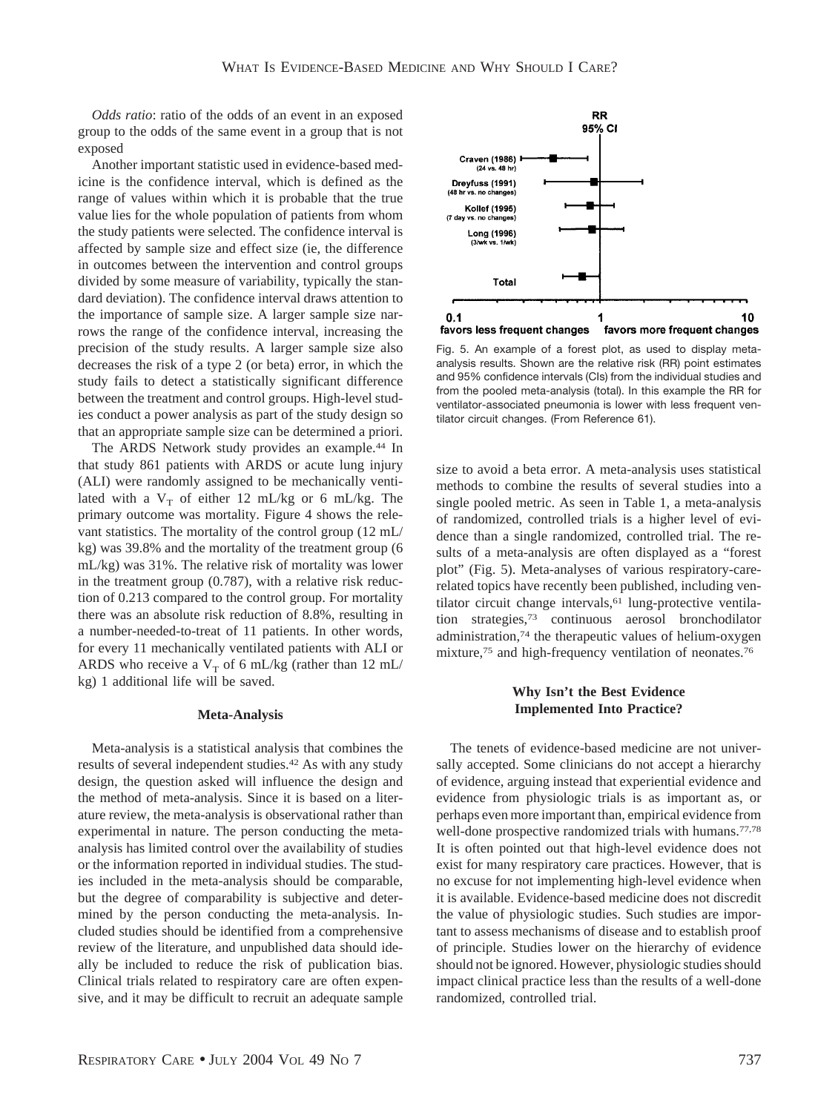*Odds ratio*: ratio of the odds of an event in an exposed group to the odds of the same event in a group that is not exposed

Another important statistic used in evidence-based medicine is the confidence interval, which is defined as the range of values within which it is probable that the true value lies for the whole population of patients from whom the study patients were selected. The confidence interval is affected by sample size and effect size (ie, the difference in outcomes between the intervention and control groups divided by some measure of variability, typically the standard deviation). The confidence interval draws attention to the importance of sample size. A larger sample size narrows the range of the confidence interval, increasing the precision of the study results. A larger sample size also decreases the risk of a type 2 (or beta) error, in which the study fails to detect a statistically significant difference between the treatment and control groups. High-level studies conduct a power analysis as part of the study design so that an appropriate sample size can be determined a priori.

The ARDS Network study provides an example.44 In that study 861 patients with ARDS or acute lung injury (ALI) were randomly assigned to be mechanically ventilated with a  $V_T$  of either 12 mL/kg or 6 mL/kg. The primary outcome was mortality. Figure 4 shows the relevant statistics. The mortality of the control group (12 mL/ kg) was 39.8% and the mortality of the treatment group (6 mL/kg) was 31%. The relative risk of mortality was lower in the treatment group (0.787), with a relative risk reduction of 0.213 compared to the control group. For mortality there was an absolute risk reduction of 8.8%, resulting in a number-needed-to-treat of 11 patients. In other words, for every 11 mechanically ventilated patients with ALI or ARDS who receive a  $V_T$  of 6 mL/kg (rather than 12 mL/ kg) 1 additional life will be saved.

### **Meta-Analysis**

Meta-analysis is a statistical analysis that combines the results of several independent studies.42 As with any study design, the question asked will influence the design and the method of meta-analysis. Since it is based on a literature review, the meta-analysis is observational rather than experimental in nature. The person conducting the metaanalysis has limited control over the availability of studies or the information reported in individual studies. The studies included in the meta-analysis should be comparable, but the degree of comparability is subjective and determined by the person conducting the meta-analysis. Included studies should be identified from a comprehensive review of the literature, and unpublished data should ideally be included to reduce the risk of publication bias. Clinical trials related to respiratory care are often expensive, and it may be difficult to recruit an adequate sample



Fig. 5. An example of a forest plot, as used to display metaanalysis results. Shown are the relative risk (RR) point estimates and 95% confidence intervals (CIs) from the individual studies and from the pooled meta-analysis (total). In this example the RR for ventilator-associated pneumonia is lower with less frequent ventilator circuit changes. (From Reference 61).

size to avoid a beta error. A meta-analysis uses statistical methods to combine the results of several studies into a single pooled metric. As seen in Table 1, a meta-analysis of randomized, controlled trials is a higher level of evidence than a single randomized, controlled trial. The results of a meta-analysis are often displayed as a "forest plot" (Fig. 5). Meta-analyses of various respiratory-carerelated topics have recently been published, including ventilator circuit change intervals,<sup>61</sup> lung-protective ventilation strategies,73 continuous aerosol bronchodilator administration,74 the therapeutic values of helium-oxygen mixture,<sup>75</sup> and high-frequency ventilation of neonates.<sup>76</sup>

## **Why Isn't the Best Evidence Implemented Into Practice?**

The tenets of evidence-based medicine are not universally accepted. Some clinicians do not accept a hierarchy of evidence, arguing instead that experiential evidence and evidence from physiologic trials is as important as, or perhaps even more important than, empirical evidence from well-done prospective randomized trials with humans.<sup>77,78</sup> It is often pointed out that high-level evidence does not exist for many respiratory care practices. However, that is no excuse for not implementing high-level evidence when it is available. Evidence-based medicine does not discredit the value of physiologic studies. Such studies are important to assess mechanisms of disease and to establish proof of principle. Studies lower on the hierarchy of evidence should not be ignored. However, physiologic studies should impact clinical practice less than the results of a well-done randomized, controlled trial.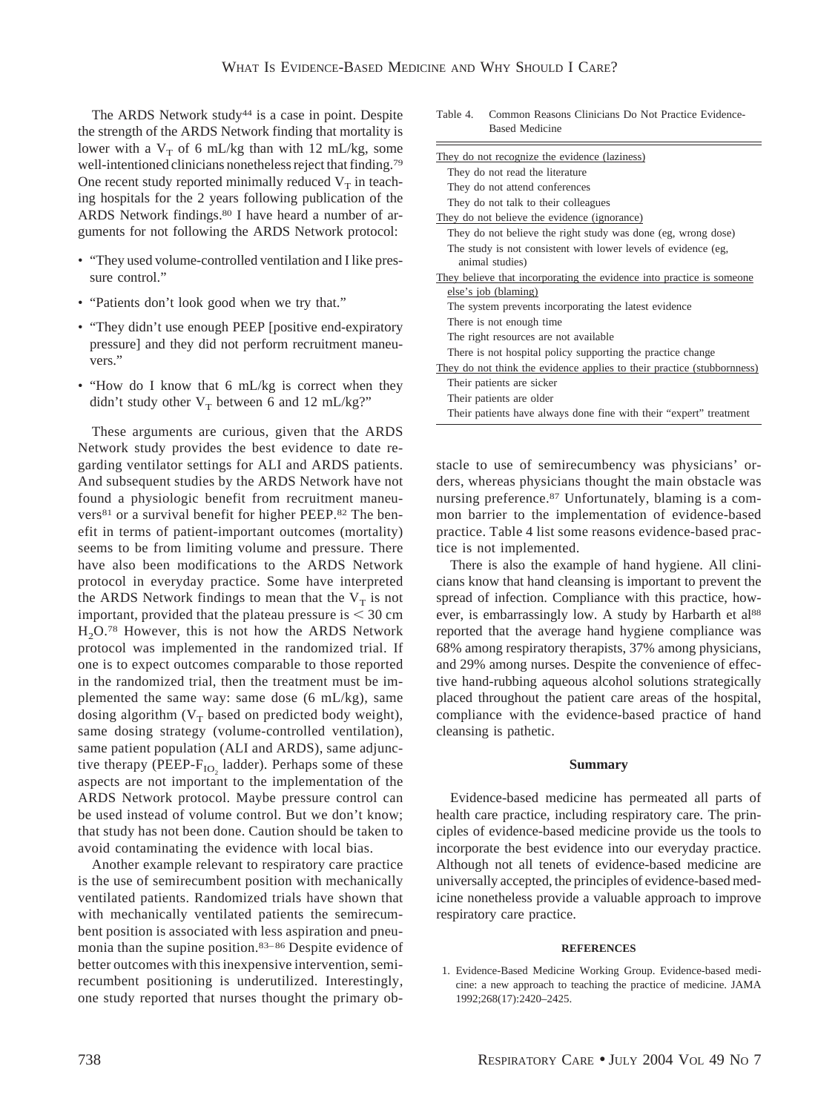The ARDS Network study<sup>44</sup> is a case in point. Despite the strength of the ARDS Network finding that mortality is lower with a  $V_T$  of 6 mL/kg than with 12 mL/kg, some well-intentioned clinicians nonetheless reject that finding.79 One recent study reported minimally reduced  $V_T$  in teaching hospitals for the 2 years following publication of the ARDS Network findings.<sup>80</sup> I have heard a number of arguments for not following the ARDS Network protocol:

- "They used volume-controlled ventilation and I like pressure control."
- "Patients don't look good when we try that."
- "They didn't use enough PEEP [positive end-expiratory pressure] and they did not perform recruitment maneuvers."
- "How do I know that 6 mL/kg is correct when they didn't study other  $V_T$  between 6 and 12 mL/kg?"

These arguments are curious, given that the ARDS Network study provides the best evidence to date regarding ventilator settings for ALI and ARDS patients. And subsequent studies by the ARDS Network have not found a physiologic benefit from recruitment maneuvers<sup>81</sup> or a survival benefit for higher PEEP.<sup>82</sup> The benefit in terms of patient-important outcomes (mortality) seems to be from limiting volume and pressure. There have also been modifications to the ARDS Network protocol in everyday practice. Some have interpreted the ARDS Network findings to mean that the  $V_T$  is not important, provided that the plateau pressure is  $\leq 30$  cm  $H<sub>2</sub>O<sup>78</sup>$  However, this is not how the ARDS Network protocol was implemented in the randomized trial. If one is to expect outcomes comparable to those reported in the randomized trial, then the treatment must be implemented the same way: same dose (6 mL/kg), same dosing algorithm ( $V_T$  based on predicted body weight), same dosing strategy (volume-controlled ventilation), same patient population (ALI and ARDS), same adjunctive therapy (PEEP- $F_{IO}$  ladder). Perhaps some of these aspects are not important to the implementation of the ARDS Network protocol. Maybe pressure control can be used instead of volume control. But we don't know; that study has not been done. Caution should be taken to avoid contaminating the evidence with local bias.

Another example relevant to respiratory care practice is the use of semirecumbent position with mechanically ventilated patients. Randomized trials have shown that with mechanically ventilated patients the semirecumbent position is associated with less aspiration and pneumonia than the supine position.<sup>83-86</sup> Despite evidence of better outcomes with this inexpensive intervention, semirecumbent positioning is underutilized. Interestingly, one study reported that nurses thought the primary ob-

| <b>Based Medicine</b>                                                   |
|-------------------------------------------------------------------------|
| They do not recognize the evidence (laziness)                           |
| They do not read the literature                                         |
| They do not attend conferences                                          |
| They do not talk to their colleagues                                    |
| They do not believe the evidence (ignorance)                            |
| They do not believe the right study was done (eg, wrong dose)           |
| The study is not consistent with lower levels of evidence (eg,          |
| animal studies)                                                         |
| They believe that incorporating the evidence into practice is someone   |
| else's job (blaming)                                                    |
| The system prevents incorporating the latest evidence                   |
| There is not enough time.                                               |
| The right resources are not available.                                  |
| There is not hospital policy supporting the practice change             |
| They do not think the evidence applies to their practice (stubbornness) |
| Their patients are sicker                                               |
| Their patients are older                                                |
| Their patients have always done fine with their "expert" treatment      |

Table 4. Common Reasons Clinicians Do Not Practice Evidence-

stacle to use of semirecumbency was physicians' orders, whereas physicians thought the main obstacle was nursing preference.87 Unfortunately, blaming is a common barrier to the implementation of evidence-based practice. Table 4 list some reasons evidence-based practice is not implemented.

There is also the example of hand hygiene. All clinicians know that hand cleansing is important to prevent the spread of infection. Compliance with this practice, however, is embarrassingly low. A study by Harbarth et al<sup>88</sup> reported that the average hand hygiene compliance was 68% among respiratory therapists, 37% among physicians, and 29% among nurses. Despite the convenience of effective hand-rubbing aqueous alcohol solutions strategically placed throughout the patient care areas of the hospital, compliance with the evidence-based practice of hand cleansing is pathetic.

# **Summary**

Evidence-based medicine has permeated all parts of health care practice, including respiratory care. The principles of evidence-based medicine provide us the tools to incorporate the best evidence into our everyday practice. Although not all tenets of evidence-based medicine are universally accepted, the principles of evidence-based medicine nonetheless provide a valuable approach to improve respiratory care practice.

#### **REFERENCES**

1. Evidence-Based Medicine Working Group. Evidence-based medicine: a new approach to teaching the practice of medicine. JAMA 1992;268(17):2420–2425.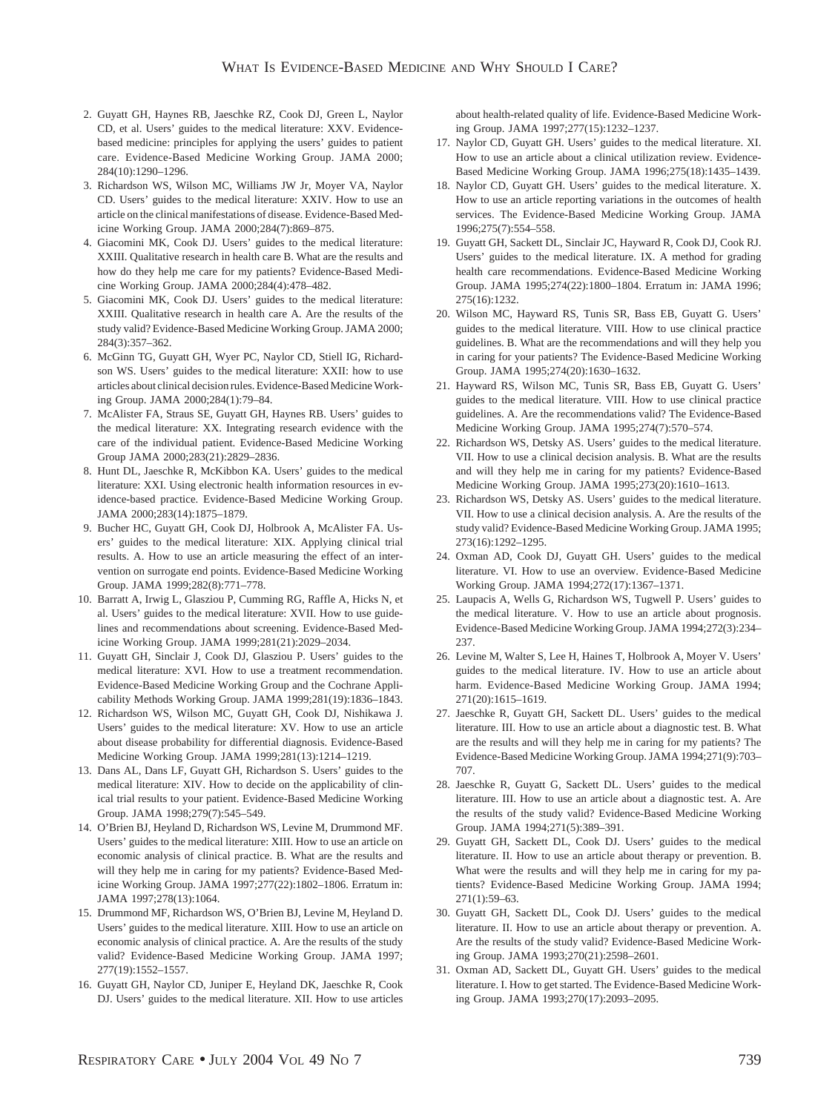- 2. Guyatt GH, Haynes RB, Jaeschke RZ, Cook DJ, Green L, Naylor CD, et al. Users' guides to the medical literature: XXV. Evidencebased medicine: principles for applying the users' guides to patient care. Evidence-Based Medicine Working Group. JAMA 2000; 284(10):1290–1296.
- 3. Richardson WS, Wilson MC, Williams JW Jr, Moyer VA, Naylor CD. Users' guides to the medical literature: XXIV. How to use an article on the clinical manifestations of disease. Evidence-Based Medicine Working Group. JAMA 2000;284(7):869–875.
- 4. Giacomini MK, Cook DJ. Users' guides to the medical literature: XXIII. Qualitative research in health care B. What are the results and how do they help me care for my patients? Evidence-Based Medicine Working Group. JAMA 2000;284(4):478–482.
- 5. Giacomini MK, Cook DJ. Users' guides to the medical literature: XXIII. Qualitative research in health care A. Are the results of the study valid? Evidence-Based Medicine Working Group. JAMA 2000; 284(3):357–362.
- 6. McGinn TG, Guyatt GH, Wyer PC, Naylor CD, Stiell IG, Richardson WS. Users' guides to the medical literature: XXII: how to use articles about clinical decision rules. Evidence-Based Medicine Working Group. JAMA 2000;284(1):79–84.
- 7. McAlister FA, Straus SE, Guyatt GH, Haynes RB. Users' guides to the medical literature: XX. Integrating research evidence with the care of the individual patient. Evidence-Based Medicine Working Group JAMA 2000;283(21):2829–2836.
- 8. Hunt DL, Jaeschke R, McKibbon KA. Users' guides to the medical literature: XXI. Using electronic health information resources in evidence-based practice. Evidence-Based Medicine Working Group. JAMA 2000;283(14):1875–1879.
- 9. Bucher HC, Guyatt GH, Cook DJ, Holbrook A, McAlister FA. Users' guides to the medical literature: XIX. Applying clinical trial results. A. How to use an article measuring the effect of an intervention on surrogate end points. Evidence-Based Medicine Working Group. JAMA 1999;282(8):771–778.
- 10. Barratt A, Irwig L, Glasziou P, Cumming RG, Raffle A, Hicks N, et al. Users' guides to the medical literature: XVII. How to use guidelines and recommendations about screening. Evidence-Based Medicine Working Group. JAMA 1999;281(21):2029–2034.
- 11. Guyatt GH, Sinclair J, Cook DJ, Glasziou P. Users' guides to the medical literature: XVI. How to use a treatment recommendation. Evidence-Based Medicine Working Group and the Cochrane Applicability Methods Working Group. JAMA 1999;281(19):1836–1843.
- 12. Richardson WS, Wilson MC, Guyatt GH, Cook DJ, Nishikawa J. Users' guides to the medical literature: XV. How to use an article about disease probability for differential diagnosis. Evidence-Based Medicine Working Group. JAMA 1999;281(13):1214–1219.
- 13. Dans AL, Dans LF, Guyatt GH, Richardson S. Users' guides to the medical literature: XIV. How to decide on the applicability of clinical trial results to your patient. Evidence-Based Medicine Working Group. JAMA 1998;279(7):545–549.
- 14. O'Brien BJ, Heyland D, Richardson WS, Levine M, Drummond MF. Users' guides to the medical literature: XIII. How to use an article on economic analysis of clinical practice. B. What are the results and will they help me in caring for my patients? Evidence-Based Medicine Working Group. JAMA 1997;277(22):1802–1806. Erratum in: JAMA 1997;278(13):1064.
- 15. Drummond MF, Richardson WS, O'Brien BJ, Levine M, Heyland D. Users' guides to the medical literature. XIII. How to use an article on economic analysis of clinical practice. A. Are the results of the study valid? Evidence-Based Medicine Working Group. JAMA 1997; 277(19):1552–1557.
- 16. Guyatt GH, Naylor CD, Juniper E, Heyland DK, Jaeschke R, Cook DJ. Users' guides to the medical literature. XII. How to use articles

about health-related quality of life. Evidence-Based Medicine Working Group. JAMA 1997;277(15):1232–1237.

- 17. Naylor CD, Guyatt GH. Users' guides to the medical literature. XI. How to use an article about a clinical utilization review. Evidence-Based Medicine Working Group. JAMA 1996;275(18):1435–1439.
- 18. Naylor CD, Guyatt GH. Users' guides to the medical literature. X. How to use an article reporting variations in the outcomes of health services. The Evidence-Based Medicine Working Group. JAMA 1996;275(7):554–558.
- 19. Guyatt GH, Sackett DL, Sinclair JC, Hayward R, Cook DJ, Cook RJ. Users' guides to the medical literature. IX. A method for grading health care recommendations. Evidence-Based Medicine Working Group. JAMA 1995;274(22):1800–1804. Erratum in: JAMA 1996; 275(16):1232.
- 20. Wilson MC, Hayward RS, Tunis SR, Bass EB, Guyatt G. Users' guides to the medical literature. VIII. How to use clinical practice guidelines. B. What are the recommendations and will they help you in caring for your patients? The Evidence-Based Medicine Working Group. JAMA 1995;274(20):1630–1632.
- 21. Hayward RS, Wilson MC, Tunis SR, Bass EB, Guyatt G. Users' guides to the medical literature. VIII. How to use clinical practice guidelines. A. Are the recommendations valid? The Evidence-Based Medicine Working Group. JAMA 1995;274(7):570–574.
- 22. Richardson WS, Detsky AS. Users' guides to the medical literature. VII. How to use a clinical decision analysis. B. What are the results and will they help me in caring for my patients? Evidence-Based Medicine Working Group. JAMA 1995;273(20):1610–1613.
- 23. Richardson WS, Detsky AS. Users' guides to the medical literature. VII. How to use a clinical decision analysis. A. Are the results of the study valid? Evidence-Based Medicine Working Group. JAMA 1995; 273(16):1292–1295.
- 24. Oxman AD, Cook DJ, Guyatt GH. Users' guides to the medical literature. VI. How to use an overview. Evidence-Based Medicine Working Group. JAMA 1994;272(17):1367–1371.
- 25. Laupacis A, Wells G, Richardson WS, Tugwell P. Users' guides to the medical literature. V. How to use an article about prognosis. Evidence-Based Medicine Working Group. JAMA 1994;272(3):234– 237.
- 26. Levine M, Walter S, Lee H, Haines T, Holbrook A, Moyer V. Users' guides to the medical literature. IV. How to use an article about harm. Evidence-Based Medicine Working Group. JAMA 1994; 271(20):1615–1619.
- 27. Jaeschke R, Guyatt GH, Sackett DL. Users' guides to the medical literature. III. How to use an article about a diagnostic test. B. What are the results and will they help me in caring for my patients? The Evidence-Based Medicine Working Group. JAMA 1994;271(9):703– 707.
- 28. Jaeschke R, Guyatt G, Sackett DL. Users' guides to the medical literature. III. How to use an article about a diagnostic test. A. Are the results of the study valid? Evidence-Based Medicine Working Group. JAMA 1994;271(5):389–391.
- 29. Guyatt GH, Sackett DL, Cook DJ. Users' guides to the medical literature. II. How to use an article about therapy or prevention. B. What were the results and will they help me in caring for my patients? Evidence-Based Medicine Working Group. JAMA 1994; 271(1):59–63.
- 30. Guyatt GH, Sackett DL, Cook DJ. Users' guides to the medical literature. II. How to use an article about therapy or prevention. A. Are the results of the study valid? Evidence-Based Medicine Working Group. JAMA 1993;270(21):2598–2601.
- 31. Oxman AD, Sackett DL, Guyatt GH. Users' guides to the medical literature. I. How to get started. The Evidence-Based Medicine Working Group. JAMA 1993;270(17):2093–2095.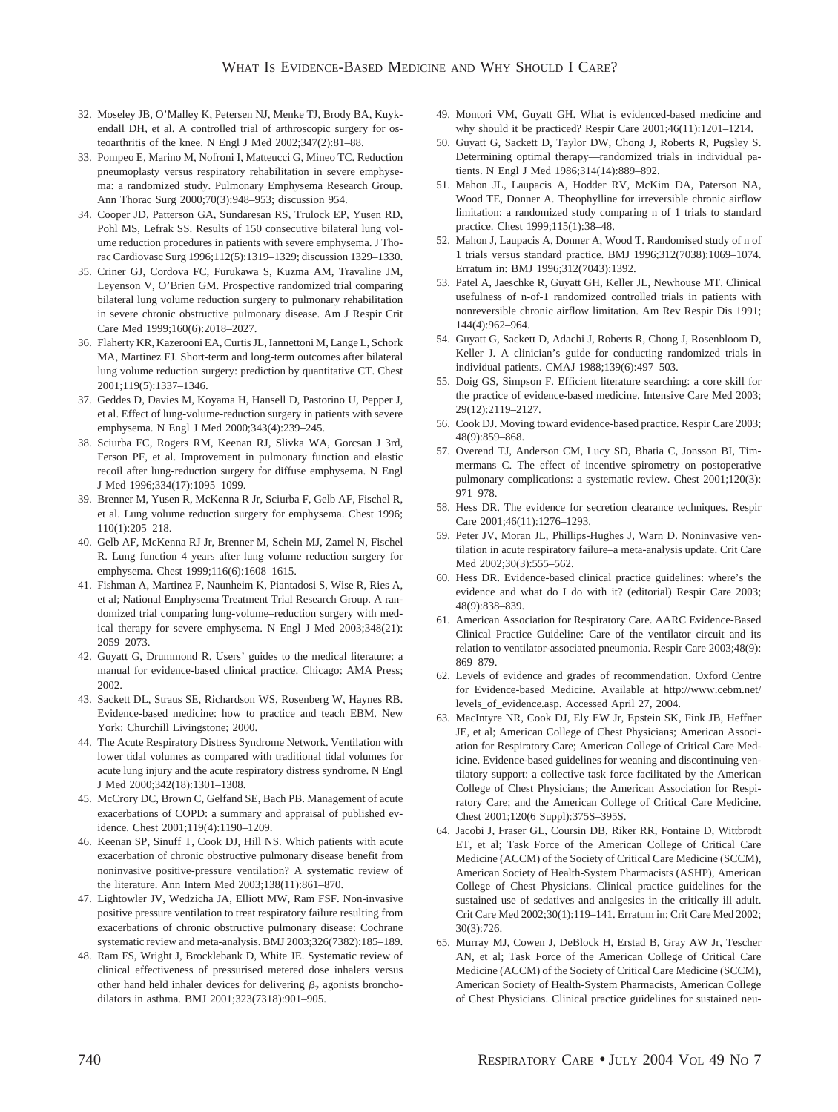- 32. Moseley JB, O'Malley K, Petersen NJ, Menke TJ, Brody BA, Kuykendall DH, et al. A controlled trial of arthroscopic surgery for osteoarthritis of the knee. N Engl J Med 2002;347(2):81–88.
- 33. Pompeo E, Marino M, Nofroni I, Matteucci G, Mineo TC. Reduction pneumoplasty versus respiratory rehabilitation in severe emphysema: a randomized study. Pulmonary Emphysema Research Group. Ann Thorac Surg 2000;70(3):948–953; discussion 954.
- 34. Cooper JD, Patterson GA, Sundaresan RS, Trulock EP, Yusen RD, Pohl MS, Lefrak SS. Results of 150 consecutive bilateral lung volume reduction procedures in patients with severe emphysema. J Thorac Cardiovasc Surg 1996;112(5):1319–1329; discussion 1329–1330.
- 35. Criner GJ, Cordova FC, Furukawa S, Kuzma AM, Travaline JM, Leyenson V, O'Brien GM. Prospective randomized trial comparing bilateral lung volume reduction surgery to pulmonary rehabilitation in severe chronic obstructive pulmonary disease. Am J Respir Crit Care Med 1999;160(6):2018–2027.
- 36. Flaherty KR, Kazerooni EA, Curtis JL, Iannettoni M, Lange L, Schork MA, Martinez FJ. Short-term and long-term outcomes after bilateral lung volume reduction surgery: prediction by quantitative CT. Chest 2001;119(5):1337–1346.
- 37. Geddes D, Davies M, Koyama H, Hansell D, Pastorino U, Pepper J, et al. Effect of lung-volume-reduction surgery in patients with severe emphysema. N Engl J Med 2000;343(4):239–245.
- 38. Sciurba FC, Rogers RM, Keenan RJ, Slivka WA, Gorcsan J 3rd, Ferson PF, et al. Improvement in pulmonary function and elastic recoil after lung-reduction surgery for diffuse emphysema. N Engl J Med 1996;334(17):1095–1099.
- 39. Brenner M, Yusen R, McKenna R Jr, Sciurba F, Gelb AF, Fischel R, et al. Lung volume reduction surgery for emphysema. Chest 1996; 110(1):205–218.
- 40. Gelb AF, McKenna RJ Jr, Brenner M, Schein MJ, Zamel N, Fischel R. Lung function 4 years after lung volume reduction surgery for emphysema. Chest 1999;116(6):1608–1615.
- 41. Fishman A, Martinez F, Naunheim K, Piantadosi S, Wise R, Ries A, et al; National Emphysema Treatment Trial Research Group. A randomized trial comparing lung-volume–reduction surgery with medical therapy for severe emphysema. N Engl J Med 2003;348(21): 2059–2073.
- 42. Guyatt G, Drummond R. Users' guides to the medical literature: a manual for evidence-based clinical practice. Chicago: AMA Press; 2002.
- 43. Sackett DL, Straus SE, Richardson WS, Rosenberg W, Haynes RB. Evidence-based medicine: how to practice and teach EBM. New York: Churchill Livingstone; 2000.
- 44. The Acute Respiratory Distress Syndrome Network. Ventilation with lower tidal volumes as compared with traditional tidal volumes for acute lung injury and the acute respiratory distress syndrome. N Engl J Med 2000;342(18):1301–1308.
- 45. McCrory DC, Brown C, Gelfand SE, Bach PB. Management of acute exacerbations of COPD: a summary and appraisal of published evidence. Chest 2001;119(4):1190–1209.
- 46. Keenan SP, Sinuff T, Cook DJ, Hill NS. Which patients with acute exacerbation of chronic obstructive pulmonary disease benefit from noninvasive positive-pressure ventilation? A systematic review of the literature. Ann Intern Med 2003;138(11):861–870.
- 47. Lightowler JV, Wedzicha JA, Elliott MW, Ram FSF. Non-invasive positive pressure ventilation to treat respiratory failure resulting from exacerbations of chronic obstructive pulmonary disease: Cochrane systematic review and meta-analysis. BMJ 2003;326(7382):185–189.
- 48. Ram FS, Wright J, Brocklebank D, White JE. Systematic review of clinical effectiveness of pressurised metered dose inhalers versus other hand held inhaler devices for delivering  $\beta_2$  agonists bronchodilators in asthma. BMJ 2001;323(7318):901–905.
- 49. Montori VM, Guyatt GH. What is evidenced-based medicine and why should it be practiced? Respir Care 2001;46(11):1201–1214.
- 50. Guyatt G, Sackett D, Taylor DW, Chong J, Roberts R, Pugsley S. Determining optimal therapy—randomized trials in individual patients. N Engl J Med 1986;314(14):889–892.
- 51. Mahon JL, Laupacis A, Hodder RV, McKim DA, Paterson NA, Wood TE, Donner A. Theophylline for irreversible chronic airflow limitation: a randomized study comparing n of 1 trials to standard practice. Chest 1999;115(1):38–48.
- 52. Mahon J, Laupacis A, Donner A, Wood T. Randomised study of n of 1 trials versus standard practice. BMJ 1996;312(7038):1069–1074. Erratum in: BMJ 1996;312(7043):1392.
- 53. Patel A, Jaeschke R, Guyatt GH, Keller JL, Newhouse MT. Clinical usefulness of n-of-1 randomized controlled trials in patients with nonreversible chronic airflow limitation. Am Rev Respir Dis 1991; 144(4):962–964.
- 54. Guyatt G, Sackett D, Adachi J, Roberts R, Chong J, Rosenbloom D, Keller J. A clinician's guide for conducting randomized trials in individual patients. CMAJ 1988;139(6):497–503.
- 55. Doig GS, Simpson F. Efficient literature searching: a core skill for the practice of evidence-based medicine. Intensive Care Med 2003; 29(12):2119–2127.
- 56. Cook DJ. Moving toward evidence-based practice. Respir Care 2003; 48(9):859–868.
- 57. Overend TJ, Anderson CM, Lucy SD, Bhatia C, Jonsson BI, Timmermans C. The effect of incentive spirometry on postoperative pulmonary complications: a systematic review. Chest 2001;120(3): 971–978.
- 58. Hess DR. The evidence for secretion clearance techniques. Respir Care 2001;46(11):1276–1293.
- 59. Peter JV, Moran JL, Phillips-Hughes J, Warn D. Noninvasive ventilation in acute respiratory failure–a meta-analysis update. Crit Care Med 2002;30(3):555–562.
- 60. Hess DR. Evidence-based clinical practice guidelines: where's the evidence and what do I do with it? (editorial) Respir Care 2003; 48(9):838–839.
- 61. American Association for Respiratory Care. AARC Evidence-Based Clinical Practice Guideline: Care of the ventilator circuit and its relation to ventilator-associated pneumonia. Respir Care 2003;48(9): 869–879.
- 62. Levels of evidence and grades of recommendation. Oxford Centre for Evidence-based Medicine. Available at http://www.cebm.net/ levels\_of\_evidence.asp. Accessed April 27, 2004.
- 63. MacIntyre NR, Cook DJ, Ely EW Jr, Epstein SK, Fink JB, Heffner JE, et al; American College of Chest Physicians; American Association for Respiratory Care; American College of Critical Care Medicine. Evidence-based guidelines for weaning and discontinuing ventilatory support: a collective task force facilitated by the American College of Chest Physicians; the American Association for Respiratory Care; and the American College of Critical Care Medicine. Chest 2001;120(6 Suppl):375S–395S.
- 64. Jacobi J, Fraser GL, Coursin DB, Riker RR, Fontaine D, Wittbrodt ET, et al; Task Force of the American College of Critical Care Medicine (ACCM) of the Society of Critical Care Medicine (SCCM), American Society of Health-System Pharmacists (ASHP), American College of Chest Physicians. Clinical practice guidelines for the sustained use of sedatives and analgesics in the critically ill adult. Crit Care Med 2002;30(1):119–141. Erratum in: Crit Care Med 2002; 30(3):726.
- 65. Murray MJ, Cowen J, DeBlock H, Erstad B, Gray AW Jr, Tescher AN, et al; Task Force of the American College of Critical Care Medicine (ACCM) of the Society of Critical Care Medicine (SCCM), American Society of Health-System Pharmacists, American College of Chest Physicians. Clinical practice guidelines for sustained neu-